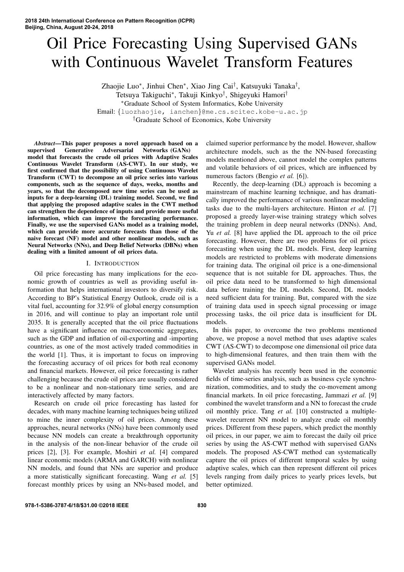# Oil Price Forecasting Using Supervised GANs with Continuous Wavelet Transform Features

Zhaojie Luo<sup>∗</sup> , Jinhui Chen<sup>∗</sup> , Xiao Jing Cai† , Katsuyuki Tanaka† , Tetsuya Takiguchi<sup>∗</sup> , Takuji Kinkyo† , Shigeyuki Hamori† <sup>∗</sup>Graduate School of System Informatics, Kobe University Email: {luozhaojie, ianchen}@me.cs.scitec.kobe-u.ac.jp †Graduate School of Economics, Kobe University

*Abstract*—This paper proposes a novel approach based on a supervised Generative Adversarial Networks (GANs) model that forecasts the crude oil prices with Adaptive Scales Continuous Wavelet Transform (AS-CWT). In our study, we first confirmed that the possibility of using Continuous Wavelet Transform (CWT) to decompose an oil price series into various components, such as the sequence of days, weeks, months and years, so that the decomposed new time series can be used as inputs for a deep-learning (DL) training model. Second, we find that applying the proposed adaptive scales in the CWT method can strengthen the dependence of inputs and provide more useful information, which can improve the forecasting performance. Finally, we use the supervised GANs model as a training model, which can provide more accurate forecasts than those of the naive forecast (NF) model and other nonlinear models, such as Neural Networks (NNs), and Deep Belief Networks (DBNs) when dealing with a limited amount of oil prices data.

#### I. INTRODUCTION

Oil price forecasting has many implications for the economic growth of countries as well as providing useful information that helps international investors to diversify risk. According to BP's Statistical Energy Outlook, crude oil is a vital fuel, accounting for 32.9% of global energy consumption in 2016, and will continue to play an important role until 2035. It is generally accepted that the oil price fluctuations have a significant influence on macroeconomic aggregates, such as the GDP and inflation of oil-exporting and -importing countries, as one of the most actively traded commodities in the world [1]. Thus, it is important to focus on improving the forecasting accuracy of oil prices for both real economy and financial markets. However, oil price forecasting is rather challenging because the crude oil prices are usually considered to be a nonlinear and non-stationary time series, and are interactively affected by many factors.

Research on crude oil price forecasting has lasted for decades, with many machine learning techniques being utilized to mine the inner complexity of oil prices. Among these approaches, neural networks (NNs) have been commonly used because NN models can create a breakthrough opportunity in the analysis of the non-linear behavior of the crude oil prices [2], [3]. For example, Moshiri *et al.* [4] compared linear economic models (ARMA and GARCH) with nonlinear NN models, and found that NNs are superior and produce a more statistically significant forecasting. Wang *et al.* [5] forecast monthly prices by using an NNs-based model, and claimed superior performance by the model. However, shallow architecture models, such as the the NN-based forecasting models mentioned above, cannot model the complex patterns and volatile behaviors of oil prices, which are influenced by numerous factors (Bengio *et al.* [6]).

Recently, the deep-learning (DL) approach is becoming a mainstream of machine learning technique, and has dramatically improved the performance of various nonlinear modeling tasks due to the multi-layers architecture. Hinton *et al.* [7] proposed a greedy layer-wise training strategy which solves the training problem in deep neural networks (DNNs). And, Yu *et al.* [8] have applied the DL approach to the oil price forecasting. However, there are two problems for oil prices forecasting when using the DL models. First, deep learning models are restricted to problems with moderate dimensions for training data. The original oil price is a one-dimensional sequence that is not suitable for DL approaches. Thus, the oil price data need to be transformed to high dimensional data before training the DL models. Second, DL models need sufficient data for training. But, compared with the size of training data used in speech signal processing or image processing tasks, the oil price data is insufficient for DL models.

In this paper, to overcome the two problems mentioned above, we propose a novel method that uses adaptive scales CWT (AS-CWT) to decompose one dimensional oil price data to high-dimensional features, and then train them with the supervised GANs model.

Wavelet analysis has recently been used in the economic fields of time-series analysis, such as business cycle synchronization, commodities, and to study the co-movement among financial markets. In oil price forecasting, Jammazi *et al.* [9] combined the wavelet transform and a NN to forecast the crude oil monthly price. Tang *et al.* [10] constructed a multiplewavelet recurrent NN model to analyze crude oil monthly prices. Different from these papers, which predict the monthly oil prices, in our paper, we aim to forecast the daily oil price series by using the AS-CWT method with supervised GANs models. The proposed AS-CWT method can systematically capture the oil prices of different temporal scales by using adaptive scales, which can then represent different oil prices levels ranging from daily prices to yearly prices levels, but better optimized.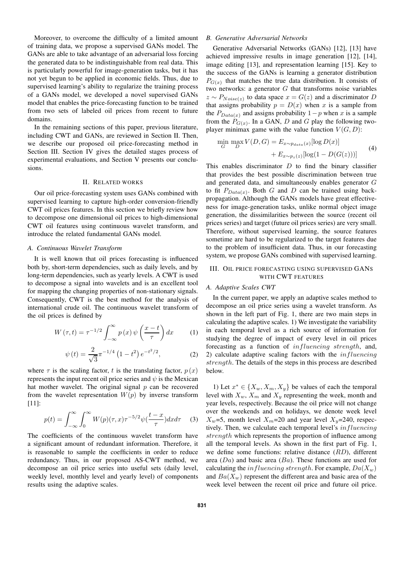Moreover, to overcome the difficulty of a limited amount of training data, we propose a supervised GANs model. The GANs are able to take advantage of an adversarial loss forcing the generated data to be indistinguishable from real data. This is particularly powerful for image-generation tasks, but it has not yet begun to be applied in economic fields. Thus, due to supervised learning's ability to regularize the training process of a GANs model, we developed a novel supervised GANs model that enables the price-forecasting function to be trained from two sets of labeled oil prices from recent to future domains.

In the remaining sections of this paper, previous literature, including CWT and GANs, are reviewed in Section II. Then, we describe our proposed oil price-forecasting method in Section III. Section IV gives the detailed stages process of experimental evaluations, and Section V presents our conclusions.

## II. RELATED WORKS

Our oil price-forecasting system uses GANs combined with supervised learning to capture high-order conversion-friendly CWT oil prices features. In this section we briefly review how to decompose one dimensional oil prices to high-dimensional CWT oil features using continuous wavelet transform, and introduce the related fundamental GANs model.

## *A. Continuous Wavelet Transform*

It is well known that oil prices forecasting is influenced both by, short-term dependencies, such as daily levels, and by long-term dependencies, such as yearly levels. A CWT is used to decompose a signal into wavelets and is an excellent tool for mapping the changing properties of non-stationary signals. Consequently, CWT is the best method for the analysis of international crude oil. The continuous wavelet transform of the oil prices is defined by

$$
W(\tau, t) = \tau^{-1/2} \int_{-\infty}^{\infty} p(x) \psi\left(\frac{x-t}{\tau}\right) dx \qquad (1)
$$

$$
\psi(t) = \frac{2}{\sqrt{3}} \pi^{-1/4} \left( 1 - t^2 \right) e^{-t^2/2},\tag{2}
$$

where  $\tau$  is the scaling factor, t is the translating factor,  $p(x)$ represents the input recent oil price series and  $\psi$  is the Mexican hat mother wavelet. The original signal  $p$  can be recovered from the wavelet representation  $W(p)$  by inverse transform [11]:

$$
p(t) = \int_{-\infty}^{\infty} \int_{0}^{\infty} W(p)(\tau, x) \tau^{-5/2} \psi(\frac{t - x}{\tau}) dx d\tau \quad (3)
$$

The coefficients of the continuous wavelet transform have a significant amount of redundant information. Therefore, it is reasonable to sample the coefficients in order to reduce redundancy. Thus, in our proposed AS-CWT method, we decompose an oil price series into useful sets (daily level, weekly level, monthly level and yearly level) of components results using the adaptive scales.

## *B. Generative Adversarial Networks*

Generative Adversarial Networks (GANs) [12], [13] have achieved impressive results in image generation [12], [14], image editing [13], and representation learning [15]. Key to the success of the GANs is learning a generator distribution  $P_{G(x)}$  that matches the true data distribution. It consists of two networks: a generator  $G$  that transforms noise variables  $z \sim P_{Noise(z)}$  to data space  $x = G(z)$  and a discriminator D that assigns probability  $p = D(x)$  when x is a sample from the  $P_{Data(x)}$  and assigns probability  $1-p$  when x is a sample from the  $P_{G(x)}$ . In a GAN, D and G play the following twoplayer minimax game with the value function  $V(G, D)$ :

$$
\min_{G} \max_{D} V(D, G) = E_{x \sim p_{data}(x)}[\log D(x)]
$$
  
+ 
$$
E_{x \sim p_z(z)}[\log(1 - D(G(z)))]
$$
 (4)

This enables discriminator  $D$  to find the binary classifier that provides the best possible discrimination between true and generated data, and simultaneously enables generator G to fit  $P_{Data(x)}$ . Both G and D can be trained using backpropagation. Although the GANs models have great effectiveness for image-generation tasks, unlike normal object image generation, the dissimilarities between the source (recent oil prices series) and target (future oil prices series) are very small. Therefore, without supervised learning, the source features sometime are hard to be regularized to the target features due to the problem of insufficient data. Thus, in our forecasting system, we propose GANs combined with supervised learning.

## III. OIL PRICE FORECASTING USING SUPERVISED GANS WITH CWT FEATURES

#### *A. Adaptive Scales CWT*

In the current paper, we apply an adaptive scales method to decompose an oil price series using a wavelet transform. As shown in the left part of Fig. 1, there are two main steps in calculating the adaptive scales. 1) We investigate the variability in each temporal level as a rich source of information for studying the degree of impact of every level in oil prices forecasting as a function of influencing strength, and, 2) calculate adaptive scaling factors with the  $influencing$ strength. The details of the steps in this process are described below.

1) Let  $x^* \in \{X_w, X_m, X_y\}$  be values of each the temporal level with  $X_w$ ,  $X_m$  and  $X_y$  representing the week, month and year levels, respectively. Because the oil price will not change over the weekends and on holidays, we denote week level  $X_w$ =5, month level  $X_m$ =20 and year level  $X_w$ =240, respectively. Then, we calculate each temporal level's *influencing* strength which represents the proportion of influence among all the temporal levels. As shown in the first part of Fig. 1, we define some functions: relative distance  $(RD)$ , different area  $(Da)$  and basic area  $(Ba)$ . These functions are used for calculating the *influencing strength*. For example,  $Da(X_w)$ and  $Ba(X_w)$  represent the different area and basic area of the week level between the recent oil price and future oil price.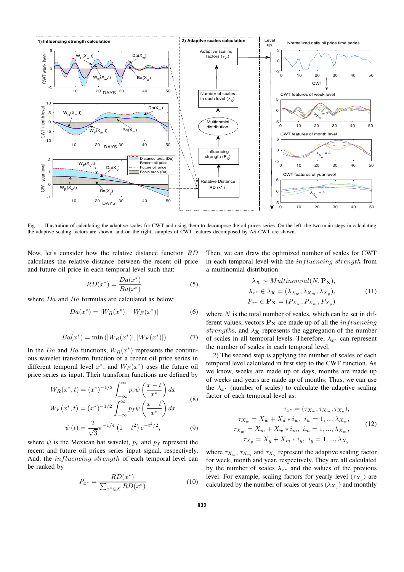

Fig. 1. Illustration of calculating the adaptive scales for CWT and using them to decompose the oil prices series. On the left, the two main steps in calculating the adaptive scaling factors are shown, and on the right, samples of CWT features decomposed by AS-CWT are shown.

Now, let's consider how the relative distance function RD calculates the relative distance between the recent oil price and future oil price in each temporal level such that:

$$
RD(x^*) = \frac{Da(x^*)}{Ba(x^*)}
$$
\n<sup>(5)</sup>

where  $Da$  and  $Ba$  formulas are calculated as below:

$$
Da(x^*) = |W_R(x^*) - W_F(x^*)|
$$
 (6)

$$
Ba(x^*) = \min(|W_R(x^*)|, |W_F(x^*)|)
$$
 (7)

In the Da and Ba functions,  $W_R(x^*)$  represents the continuous wavelet transform function of a recent oil price series in different temporal level  $x^*$ , and  $W_F(x^*)$  uses the future oil price series as input. Their transform functions are defined by

$$
W_R(x^*,t) = (x^*)^{-1/2} \int_{-\infty}^{\infty} p_r \psi\left(\frac{x-t}{x^*}\right) dx
$$
  

$$
W_R(x^*,t) = (x^*)^{-1/2} \int_{-\infty}^{\infty} p_r \psi\left(\frac{x-t}{x^*}\right) dx
$$
 (8)

$$
W_F(x^*,t) = (x^*)^{-1/2} \int_{-\infty}^{\infty} p_f \psi\left(\frac{x-t}{x^*}\right) dx
$$

$$
\psi(t) = \frac{2}{\sqrt{3}} \pi^{-1/4} \left( 1 - t^2 \right) e^{-t^2/2},\tag{9}
$$

where  $\psi$  is the Mexican hat wavelet,  $p_r$  and  $p_f$  represent the recent and future oil prices series input signal, respectively. And, the influencing strength of each temporal level can be ranked by

$$
P_{x^*} = \frac{RD(x^*)}{\sum_{x^* \in X} RD(x^*)}
$$
 (10)

Then, we can draw the optimized number of scales for CWT in each temporal level with the influencing strength from a multinomial distribution:

$$
\lambda_{\mathbf{X}} \sim Multinomial(N, \mathbf{P}_{\mathbf{X}}),
$$
  
\n
$$
\lambda_{x^*} \in \lambda_{\mathbf{X}} = (\lambda_{X_w}, \lambda_{X_m}, \lambda_{X_y}),
$$
  
\n
$$
P_{x^*} \in \mathbf{P}_{\mathbf{X}} = (P_{X_w}, P_{X_m}, P_{X_y})
$$
\n(11)

where  $N$  is the total number of scales, which can be set in different values, vectors  $P_X$  are made up of all the *influencing* strengths, and  $\lambda$ **x** represents the aggregation of the number of scales in all temporal levels. Therefore,  $\lambda_{x^*}$  can represent the number of scales in each temporal level.

2) The second step is applying the number of scales of each temporal level calculated in first step to the CWT function. As we know, weeks are made up of days, months are made up of weeks and years are made up of months. Thus, we can use the  $\lambda_{x^*}$  (number of scales) to calculate the adaptive scaling factor of each temporal level as:

$$
\tau_{x^*} = (\tau_{X_w}, \tau_{X_m}, \tau_{X_y}),
$$
  
\n
$$
\tau_{X_w} = X_w + X_d * i_w, \ i_w = 1, ..., \lambda_{X_w},
$$
  
\n
$$
\tau_{X_m} = X_m + X_w * i_m, \ i_m = 1, ..., \lambda_{X_m},
$$
  
\n
$$
\tau_{X_y} = X_y + X_m * i_y, \ i_y = 1, ..., \lambda_{X_y}
$$
\n(12)

where  $\tau_{X_w}$ ,  $\tau_{X_m}$  and  $\tau_{X_y}$  represent the adaptive scaling factor for week, month and year, respectively. They are all calculated by the number of scales  $\lambda_{x^*}$  and the values of the previous level. For example, scaling factors for yearly level  $(\tau_{X_y})$  are calculated by the number of scales of years  $(\lambda_{X_y})$  and monthly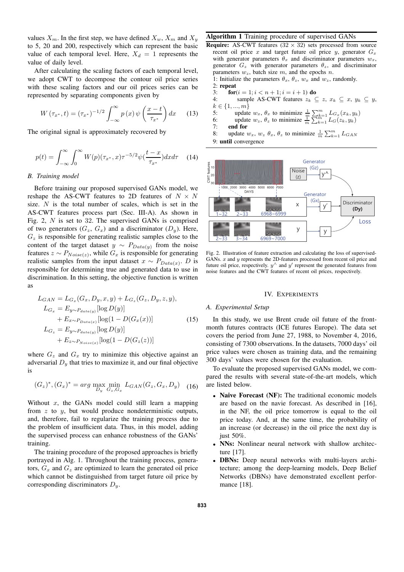values  $X_m$ . In the first step, we have defined  $X_w$ ,  $X_m$  and  $X_y$ to 5, 20 and 200, respectively which can represent the basic value of each temporal level. Here,  $X_d = 1$  represents the value of daily level.

After calculating the scaling factors of each temporal level, we adopt CWT to decompose the contour oil price series with these scaling factors and our oil prices series can be represented by separating components given by

$$
W(\tau_{x^*}, t) = (\tau_{x^*})^{-1/2} \int_{-\infty}^{\infty} p(x) \psi\left(\frac{x - t}{\tau_{x^*}}\right) dx \qquad (13)
$$

The original signal is approximately recovered by

$$
p(t) = \int_{-\infty}^{\infty} \int_{0}^{\infty} W(p)(\tau_{x^*}, x) \tau^{-5/2} \psi(\frac{t - x}{\tau_{x^*}}) dx d\tau \quad (14)
$$

#### *B. Training model*

Before training our proposed supervised GANs model, we reshape the AS-CWT features to 2D features of  $N \times N$ size.  $N$  is the total number of scales, which is set in the AS-CWT features process part (Sec. III-A). As shown in Fig. 2, N is set to 32. The supervised GANs is comprised of two generators  $(G_z, G_x)$  and a discriminator  $(D_y)$ . Here,  $G<sub>z</sub>$  is responsible for generating realistic samples close to the content of the target dataset  $y \sim P_{Data(y)}$  from the noise features  $z \sim P_{Noise(z)}$ , while  $G_x$  is responsible for generating realistic samples from the input dataset  $x \sim P_{Data(x)}$ . D is responsible for determining true and generated data to use in discrimination. In this setting, the objective function is written as

$$
L_{GAN} = L_{G_x}(G_x, D_y, x, y) + L_{G_z}(G_z, D_y, z, y),
$$
  
\n
$$
L_{G_x} = E_{y \sim P_{data(y)}}[\log D(y)] + E_{x \sim P_{Data(x)}}[\log(1 - D(G_x(x)))]
$$
  
\n
$$
L_{G_z} = E_{y \sim P_{data(y)}}[\log D(y)] + E_{z \sim P_{Noise(x)}}[\log(1 - D(G_z(z)))]
$$
\n(15)

where  $G_z$  and  $G_x$  try to minimize this objective against an adversarial  $D<sub>y</sub>$  that tries to maximize it, and our final objective is

$$
(G_z)^*, (G_x)^* = \arg \max_{D_y} \min_{G_z, G_x} L_{GAN}(G_z, G_x, D_y) \quad (16)
$$

Without  $x$ , the GANs model could still learn a mapping from  $z$  to  $y$ , but would produce nondeterministic outputs, and, therefore, fail to regularize the training process due to the problem of insufficient data. Thus, in this model, adding the supervised process can enhance robustness of the GANs' training.

The training procedure of the proposed approaches is briefly portrayed in Alg. 1. Throughout the training process, generators,  $G_x$  and  $G_z$  are optimized to learn the generated oil price which cannot be distinguished from target future oil price by corresponding discriminators  $D_y$ .

## Algorithm 1 Training procedure of supervised GANs

**Require:** AS-CWT features  $(32 \times 32)$  sets processed from source recent oil price x and target future oil price y, generator  $G_x$ with generator parameters  $\theta_x$  and discriminator parameters  $w_x$ , generator  $G_z$  with generator parameters  $\theta_z$ , and discriminator parameters  $w_z$ , batch size m, and the epochs n.

1: Initialize the parameters  $\theta_x$ ,  $\theta_z$ ,  $w_x$  and  $w_z$ , randomly. :at

$$
\frac{2}{2}
$$
 **repe**

- 3: **for** $(i = 1; i < n + 1; i = i + 1)$  **do**<br>4: **sample AS-CWT** features  $z_k$
- sample AS-CWT features  $z_k \subseteq z$ ,  $x_k \subseteq x$ ,  $y_k \subseteq y$ ,  $k \in \{1, ..., m\}$ <br>5: updat
- 5: update  $w_x$ ,  $\theta_x$  to minimize  $\frac{1}{T} \sum_{k=1}^{m} L_{G_x}(x_k, y_k)$ <br>6: update  $w_z$ ,  $\theta_z$  to minimize  $\frac{1}{m} \sum_{k=1}^{m} L_G(z_k, y_k)$
- 7: end for
- 
- 8: update  $w_x$ ,  $w_z$   $\theta_x$ ,  $\theta_z$  to minimize  $\frac{1}{m} \sum_{k=1}^{m} L_{GAN}$ 9: until convergence



Fig. 2. Illustration of feature extraction and calculating the loss of supervised-GANs.  $x$  and  $y$  represents the 2D-features processed from recent oil price and future oil price, respectively.  $y^{\wedge}$  and  $y'$  represent the generated features from noise features and the CWT features of recent oil prices, respectively.

#### IV. EXPERIMENTS

#### *A. Experimental Setup*

In this study, we use Brent crude oil future of the frontmonth futures contracts (ICE futures Europe). The data set covers the period from June 27, 1988, to November 4, 2016, consisting of 7300 observations. In the datasets, 7000 days' oil price values were chosen as training data, and the remaining 300 days' values were chosen for the evaluation.

To evaluate the proposed supervised GANs model, we compared the results with several state-of-the-art models, which are listed below.

- Naive Forecast (NF): The traditional economic models are based on the navie forecast. As described in [16], in the NF, the oil price tomorrow is equal to the oil price today. And, at the same time, the probability of an increase (or decrease) in the oil price the next day is just 50%.
- NNs: Nonlinear neural network with shallow architecture [17].
- DBNs: Deep neural networks with multi-layers architecture; among the deep-learning models, Deep Belief Networks (DBNs) have demonstrated excellent performance [18].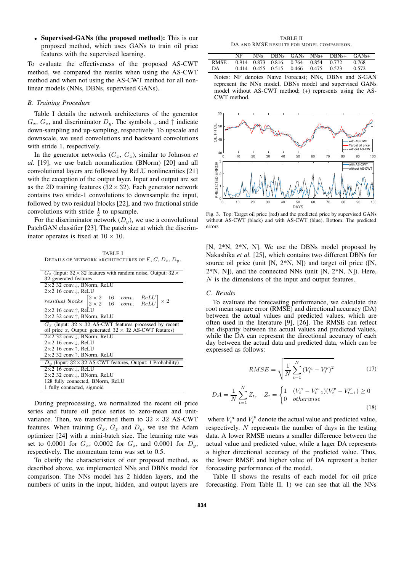• Supervised-GANs (the proposed method): This is our proposed method, which uses GANs to train oil price features with the supervised learning.

To evaluate the effectiveness of the proposed AS-CWT method, we compared the results when using the AS-CWT method and when not using the AS-CWT method for all nonlinear models (NNs, DBNs, supervised GANs).

## *B. Training Procedure*

Table I details the network architectures of the generator  $G_x, G_z$ , and discriminator  $D_y$ . The symbols  $\downarrow$  and  $\uparrow$  indicate down-sampling and up-sampling, respectively. To upscale and downscale, we used convolutions and backward convolutions with stride 1, respectively.

In the generator networks  $(G_x, G_z)$ , similar to Johnson *et al.* [19], we use batch normalization (BNorm) [20] and all convolutional layers are followed by ReLU nonlinearities [21] with the exception of the output layer. Input and output are set as the 2D training features  $(32 \times 32)$ . Each generator network contains two stride-1 convolutions to downsample the input, followed by two residual blocks [22], and two fractional stride convolutions with stride  $\frac{1}{2}$  to upsample.

For the discriminator network  $(D_y)$ , we use a convolutional PatchGAN classifier [23]. The patch size at which the discriminator operates is fixed at  $10 \times 10$ .

TABLE I DETAILS OF NETWORK ARCHITECTURES OF  $F$ ,  $G$ ,  $D_x$ ,  $D_y$ .

| $G_z$ (Input: 32 × 32 features with random noise, Output: 32 ×                                                            |  |  |  |  |  |  |  |
|---------------------------------------------------------------------------------------------------------------------------|--|--|--|--|--|--|--|
| 32 generated features                                                                                                     |  |  |  |  |  |  |  |
| $2\times 2$ 32 conv., BNorm, ReLU                                                                                         |  |  |  |  |  |  |  |
| $2\times2$ 16 conv., ReLU                                                                                                 |  |  |  |  |  |  |  |
| $residual \ blocks \ \begin{bmatrix} 2\times2 & 16 & conv. & ReLU \\ 2\times2 & 16 & conv. & ReLU \end{bmatrix} \times 2$ |  |  |  |  |  |  |  |
| $2\times2$ 16 conv. <sup><math>\dagger</math></sup> , ReLU                                                                |  |  |  |  |  |  |  |
| $2\times2$ 32 conv. $\uparrow$ , BNorm, ReLU                                                                              |  |  |  |  |  |  |  |
| $G_x$ (Input: 32 × 32 AS-CWT features processed by recent                                                                 |  |  |  |  |  |  |  |
| oil price x, Output: generated $32 \times 32$ AS-CWT features)                                                            |  |  |  |  |  |  |  |
| $2\times2$ 32 conv. L, BNorm, ReLU                                                                                        |  |  |  |  |  |  |  |
| $2\times2$ 16 conv., ReLU                                                                                                 |  |  |  |  |  |  |  |
| $2\times2$ 16 conv. <sup><math>\dagger</math></sup> , ReLU                                                                |  |  |  |  |  |  |  |
| $2\times2$ 32 conv. <sup><math>\dagger</math></sup> , BNorm, ReLU                                                         |  |  |  |  |  |  |  |
| $D_u$ (Input: 32 × 32 AS-CWT features, Output: 1 Probability)                                                             |  |  |  |  |  |  |  |
| $2\times2$ 16 conv., ReLU                                                                                                 |  |  |  |  |  |  |  |
| $2\times2$ 32 conv., BNorm, ReLU                                                                                          |  |  |  |  |  |  |  |
| 128 fully connected, BNorm, ReLU                                                                                          |  |  |  |  |  |  |  |
| 1 fully connected, sigmoid                                                                                                |  |  |  |  |  |  |  |
|                                                                                                                           |  |  |  |  |  |  |  |

During preprocessing, we normalized the recent oil price series and future oil price series to zero-mean and unitvariance. Then, we transformed them to  $32 \times 32$  AS-CWT features. When training  $G_x$ ,  $G_z$  and  $D_y$ , we use the Adam optimizer [24] with a mini-batch size. The learning rate was set to 0.0001 for  $G_x$ , 0.0002 for  $G_z$ , and 0.0001 for  $D_y$ , respectively. The momentum term was set to 0.5.

To clarify the characteristics of our proposed method, as described above, we implemented NNs and DBNs model for comparison. The NNs model has 2 hidden layers, and the numbers of units in the input, hidden, and output layers are

TABLE II DA AND RMSE RESULTS FOR MODEL COMPARISON.

|             | NF | NNs. |                                     | DBNs GANs NNs+ DBNs+                | $GANs+$ |
|-------------|----|------|-------------------------------------|-------------------------------------|---------|
| <b>RMSE</b> |    |      |                                     | 0.914 0.873 0.816 0.764 0.854 0.772 | 0.768   |
| DА          |    |      | 0.414 0.455 0.515 0.466 0.475 0.523 |                                     | 0.572   |

Notes: NF denotes Naive Forecast; NNs, DBNs and S-GAN represent the NNs model, DBNs model and supervised GANs model without AS-CWT method; (+) represents using the AS-CWT method.



Fig. 3. Top: Target oil price (red) and the predicted price by supervised GANs without AS-CWT (black) and with AS-CWT (blue), Bottom: The predicted errors

[N, 2\*N, 2\*N, N]. We use the DBNs model proposed by Nakashika *et al.* [25], which contains two different DBNs for source oil price (unit [N, 2<sup>\*</sup>N, N]) and target oil price ([N,  $2*N$ , N]), and the connected NNs (unit [N,  $2*N$ , N]). Here, N is the dimensions of the input and output features.

## *C. Results*

To evaluate the forecasting performance, we calculate the root mean square error (RMSE) and directional accuracy (DA) between the actual values and predicted values, which are often used in the literature [9], [26]. The RMSE can reflect the disparity between the actual values and predicted values, while the DA can represent the directional accuracy of each day between the actual data and predicted data, which can be expressed as follows:

$$
RMSE = \sqrt{\frac{1}{N} \sum_{t=1}^{N} (V_t^a - V_t^p)^2}
$$
 (17)

$$
DA = \frac{1}{N} \sum_{t=1}^{N} Z_t, \quad Z_t = \begin{cases} 1 & (V_t^a - V_{t-1}^a)(V_t^p - V_{t-1}^p) \ge 0\\ 0 & otherwise \end{cases}
$$
(18)

where  $V_t^a$  and  $V_t^p$  denote the actual value and predicted value, respectively. N represents the number of days in the testing data. A lower RMSE means a smaller difference between the actual value and predicted value, while a lager DA represents a higher directional accuracy of the predicted value. Thus, the lower RMSE and higher value of DA represent a better forecasting performance of the model.

Table II shows the results of each model for oil price forecasting. From Table II, 1) we can see that all the NNs